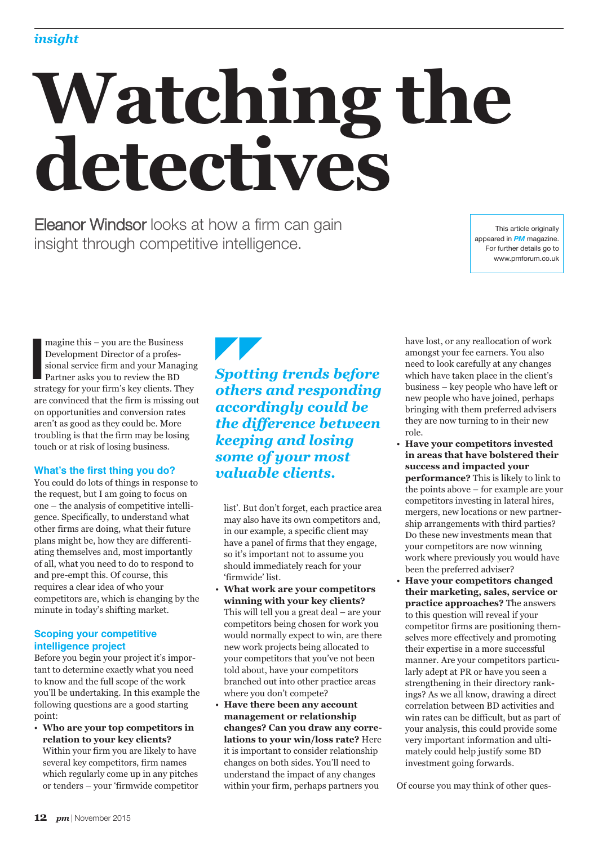# **Watching the detectives**

Eleanor Windsor looks at how a firm can gain insight through competitive intelligence.

This article originally appeared in *PM* magazine. For further details go to www.pmforum.co.uk

magine this – you are the Business<br>
Development Director of a profes-<br>
sional service firm and your Managin<br>
Partner asks you to review the BD<br>
strategy for your firm's key clients. They magine this – you are the Business Development Director of a professional service firm and your Managing Partner asks you to review the BD are convinced that the firm is missing out on opportunities and conversion rates aren't as good as they could be. More troubling is that the firm may be losing touch or at risk of losing business.

## **What's the first thing you do?**

You could do lots of things in response to the request, but I am going to focus on one – the analysis of competitive intelligence. Specifically, to understand what other firms are doing, what their future plans might be, how they are differentiating themselves and, most importantly of all, what you need to do to respond to and pre-empt this. Of course, this requires a clear idea of who your competitors are, which is changing by the minute in today's shifting market.

# **Scoping your competitive intelligence project**

Before you begin your project it's important to determine exactly what you need to know and the full scope of the work you'll be undertaking. In this example the following questions are a good starting point:

• **Who are your top competitors in relation to your key clients?** Within your firm you are likely to have several key competitors, firm names which regularly come up in any pitches or tenders – your 'firmwide competitor

# *Spotting trends before others and responding accordingly could be the difference between keeping and losing some of your most valuable clients.*

list'. But don't forget, each practice area may also have its own competitors and, in our example, a specific client may have a panel of firms that they engage, so it's important not to assume you should immediately reach for your 'firmwide' list.

- **What work are your competitors winning with your key clients?** This will tell you a great deal – are your competitors being chosen for work you would normally expect to win, are there new work projects being allocated to your competitors that you've not been told about, have your competitors branched out into other practice areas where you don't compete?
- **Have there been any account management or relationship changes? Can you draw any correlations to your win/loss rate?** Here it is important to consider relationship changes on both sides. You'll need to understand the impact of any changes within your firm, perhaps partners you

have lost, or any reallocation of work amongst your fee earners. You also need to look carefully at any changes which have taken place in the client's business – key people who have left or new people who have joined, perhaps bringing with them preferred advisers they are now turning to in their new role.

- **Have your competitors invested in areas that have bolstered their success and impacted your performance?** This is likely to link to the points above – for example are your competitors investing in lateral hires, mergers, new locations or new partnership arrangements with third parties? Do these new investments mean that your competitors are now winning work where previously you would have been the preferred adviser?
- **Have your competitors changed their marketing, sales, service or practice approaches?** The answers to this question will reveal if your competitor firms are positioning themselves more effectively and promoting their expertise in a more successful manner. Are your competitors particularly adept at PR or have you seen a strengthening in their directory rankings? As we all know, drawing a direct correlation between BD activities and win rates can be difficult, but as part of your analysis, this could provide some very important information and ultimately could help justify some BD investment going forwards.

Of course you may think of other ques-